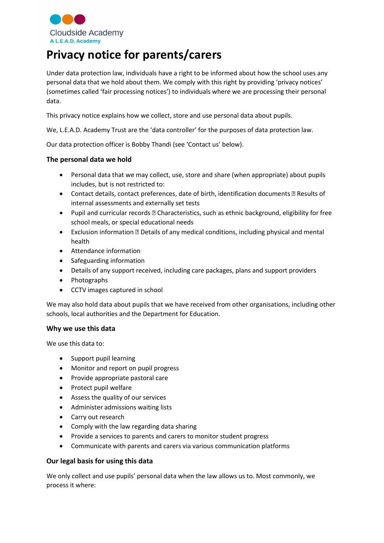

# Privacy notice for parents/carers

Under data protection law, individuals have a right to be informed about how the school uses any personal data that we hold about them. We comply with this right by providing 'privacy notices' (sometimes called 'fair processing notices') to individuals where we are processing their personal data.

This privacy notice explains how we collect, store and use personal data about pupils.

We, L.E.A.D. Academy Trust are the 'data controller' for the purposes of data protection law.

Our data protection officer is Bobby Thandi (see 'Contact us' below).

#### The personal data we hold

- Personal data that we may collect, use, store and share (when appropriate) about pupils includes, but is not restricted to:
- Contact details, contact preferences, date of birth, identification documents **Results** of internal assessments and externally set tests
- Pupil and curricular records  $\mathbb D$  Characteristics, such as ethnic background, eligibility for free school meals, or special educational needs
- Exclusion information **D** Details of any medical conditions, including physical and mental health
- Attendance information
- Safeguarding information
- Details of any support received, including care packages, plans and support providers
- Photographs
- CCTV images captured in school

We may also hold data about pupils that we have received from other organisations, including other schools, local authorities and the Department for Education.

#### Why we use this data

We use this data to:

- Support pupil learning
- Monitor and report on pupil progress
- Provide appropriate pastoral care
- Protect pupil welfare
- Assess the quality of our services
- Administer admissions waiting lists
- Carry out research
- Comply with the law regarding data sharing
- Provide a services to parents and carers to monitor student progress
- Communicate with parents and carers via various communication platforms

## Our legal basis for using this data

We only collect and use pupils' personal data when the law allows us to. Most commonly, we process it where: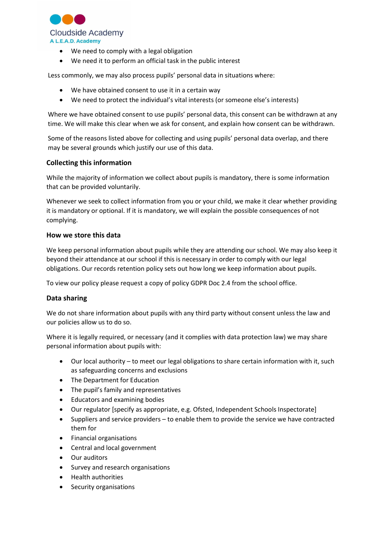

- We need to comply with a legal obligation
- We need it to perform an official task in the public interest

Less commonly, we may also process pupils' personal data in situations where:

- We have obtained consent to use it in a certain way
- We need to protect the individual's vital interests (or someone else's interests)

Where we have obtained consent to use pupils' personal data, this consent can be withdrawn at any time. We will make this clear when we ask for consent, and explain how consent can be withdrawn.

Some of the reasons listed above for collecting and using pupils' personal data overlap, and there may be several grounds which justify our use of this data.

#### Collecting this information

While the majority of information we collect about pupils is mandatory, there is some information that can be provided voluntarily.

Whenever we seek to collect information from you or your child, we make it clear whether providing it is mandatory or optional. If it is mandatory, we will explain the possible consequences of not complying.

#### How we store this data

We keep personal information about pupils while they are attending our school. We may also keep it beyond their attendance at our school if this is necessary in order to comply with our legal obligations. Our records retention policy sets out how long we keep information about pupils.

To view our policy please request a copy of policy GDPR Doc 2.4 from the school office.

## Data sharing

We do not share information about pupils with any third party without consent unless the law and our policies allow us to do so.

Where it is legally required, or necessary (and it complies with data protection law) we may share personal information about pupils with:

- Our local authority to meet our legal obligations to share certain information with it, such as safeguarding concerns and exclusions
- The Department for Education
- The pupil's family and representatives
- Educators and examining bodies
- Our regulator [specify as appropriate, e.g. Ofsted, Independent Schools Inspectorate]
- Suppliers and service providers to enable them to provide the service we have contracted them for
- Financial organisations
- Central and local government
- Our auditors
- Survey and research organisations
- Health authorities
- Security organisations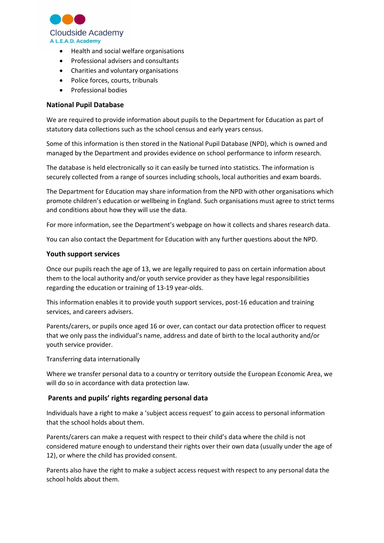

- Health and social welfare organisations
- Professional advisers and consultants
- Charities and voluntary organisations
- Police forces, courts, tribunals
- Professional bodies

#### National Pupil Database

We are required to provide information about pupils to the Department for Education as part of statutory data collections such as the school census and early years census.

Some of this information is then stored in the National Pupil Database (NPD), which is owned and managed by the Department and provides evidence on school performance to inform research.

The database is held electronically so it can easily be turned into statistics. The information is securely collected from a range of sources including schools, local authorities and exam boards.

The Department for Education may share information from the NPD with other organisations which promote children's education or wellbeing in England. Such organisations must agree to strict terms and conditions about how they will use the data.

For more information, see the Department's webpage on how it collects and shares research data.

You can also contact the Department for Education with any further questions about the NPD.

#### Youth support services

Once our pupils reach the age of 13, we are legally required to pass on certain information about them to the local authority and/or youth service provider as they have legal responsibilities regarding the education or training of 13-19 year-olds.

This information enables it to provide youth support services, post-16 education and training services, and careers advisers.

Parents/carers, or pupils once aged 16 or over, can contact our data protection officer to request that we only pass the individual's name, address and date of birth to the local authority and/or youth service provider.

Transferring data internationally

Where we transfer personal data to a country or territory outside the European Economic Area, we will do so in accordance with data protection law.

#### Parents and pupils' rights regarding personal data

Individuals have a right to make a 'subject access request' to gain access to personal information that the school holds about them.

Parents/carers can make a request with respect to their child's data where the child is not considered mature enough to understand their rights over their own data (usually under the age of 12), or where the child has provided consent.

Parents also have the right to make a subject access request with respect to any personal data the school holds about them.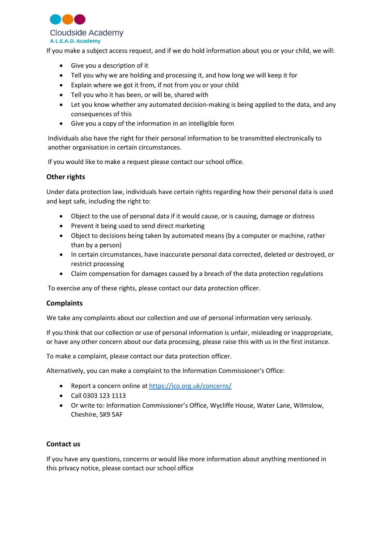

If you make a subject access request, and if we do hold information about you or your child, we will:

- Give you a description of it
- Tell you why we are holding and processing it, and how long we will keep it for
- Explain where we got it from, if not from you or your child
- Tell you who it has been, or will be, shared with
- Let you know whether any automated decision-making is being applied to the data, and any consequences of this
- Give you a copy of the information in an intelligible form

Individuals also have the right for their personal information to be transmitted electronically to another organisation in certain circumstances.

If you would like to make a request please contact our school office.

## Other rights

Under data protection law, individuals have certain rights regarding how their personal data is used and kept safe, including the right to:

- Object to the use of personal data if it would cause, or is causing, damage or distress
- Prevent it being used to send direct marketing
- Object to decisions being taken by automated means (by a computer or machine, rather than by a person)
- In certain circumstances, have inaccurate personal data corrected, deleted or destroyed, or restrict processing
- Claim compensation for damages caused by a breach of the data protection regulations

To exercise any of these rights, please contact our data protection officer.

#### Complaints

We take any complaints about our collection and use of personal information very seriously.

If you think that our collection or use of personal information is unfair, misleading or inappropriate, or have any other concern about our data processing, please raise this with us in the first instance.

To make a complaint, please contact our data protection officer.

Alternatively, you can make a complaint to the Information Commissioner's Office:

- Report a concern online at https://ico.org.uk/concerns/
- Call 0303 123 1113
- Or write to: Information Commissioner's Office, Wycliffe House, Water Lane, Wilmslow, Cheshire, SK9 5AF

#### Contact us

If you have any questions, concerns or would like more information about anything mentioned in this privacy notice, please contact our school office